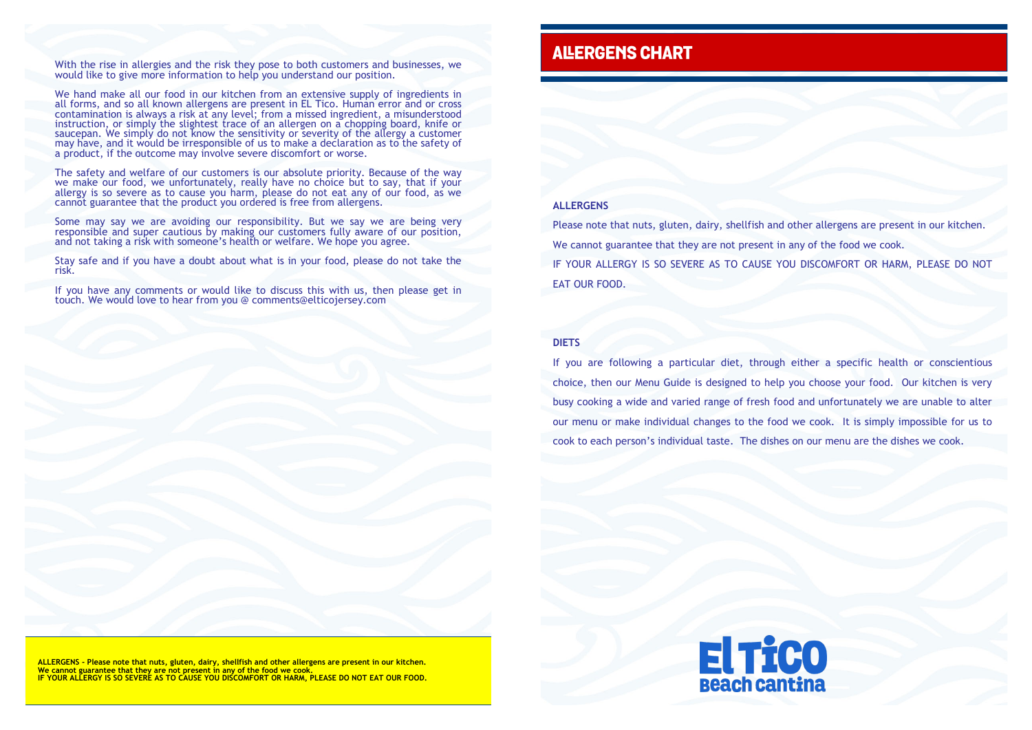With the rise in allergies and the risk they pose to both customers and businesses, we would like to give more information to help you understand our position.

We hand make all our food in our kitchen from an extensive supply of ingredients in all forms, and so all known allergens are present in EL Tico. Human error and or cross contamination is always a risk at any level; from a missed ingredient, a misunderstood instruction, or simply the slightest trace of an allergen on a chopping board, knife or saucepan. We simply do not know the sensitivity or severity of the allergy a customer may have, and it would be irresponsible of us to make a declaration as to the safety of a product, if the outcome may involve severe discomfort or worse.

The safety and welfare of our customers is our absolute priority. Because of the way we make our food, we unfortunately, really have no choice but to say, that if your allergy is so severe as to cause you harm, please do not eat any of our food, as we cannot guarantee that the product you ordered is free from allergens.

Some may say we are avoiding our responsibility. But we say we are being very responsible and super cautious by making our customers fully aware of our position, and not taking a risk with someone's health or welfare. We hope you agree.

Stay safe and if you have a doubt about what is in your food, please do not take the risk.

If you have any comments or would like to discuss this with us, then please get in touch. We would love to hear from you @ comments@elticojersey.com

## **ALERGENS CHART**

**ALLERGENS - Please note that nuts, gluten, dairy, shellfish and other allergens are present in our kitchen. We cannot guarantee that they are not present in any of the food we cook. IF YOUR ALLERGY IS SO SEVERE AS TO CAUSE YOU DISCOMFORT OR HARM, PLEASE DO NOT EAT OUR FOOD.**



## **ALLERGENS**

Please note that nuts, gluten, dairy, shellfish and other allergens are present in our kitchen. We cannot guarantee that they are not present in any of the food we cook. IF YOUR ALLERGY IS SO SEVERE AS TO CAUSE YOU DISCOMFORT OR HARM, PLEASE DO NOT EAT OUR FOOD.

## **DIETS**

If you are following a particular diet, through either a specific health or conscientious choice, then our Menu Guide is designed to help you choose your food. Our kitchen is very busy cooking a wide and varied range of fresh food and unfortunately we are unable to alter our menu or make individual changes to the food we cook. It is simply impossible for us to cook to each person's individual taste. The dishes on our menu are the dishes we cook.